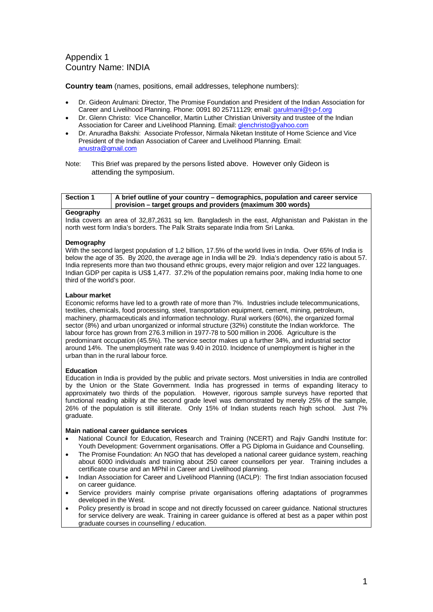## Appendix 1 Country Name: INDIA

**Country team** (names, positions, email addresses, telephone numbers):

- Dr. Gideon Arulmani: Director, The Promise Foundation and President of the Indian Association for Career and Livelihood Planning. Phone: 0091 80 25711129; email: [garulmani@t-p-f.org](mailto:garulmani@t-p-f.org)
- Dr. Glenn Christo: Vice Chancellor, Martin Luther Christian University and trustee of the Indian Association for Career and Livelihood Planning. Email[: glenchristo@yahoo.com](mailto:glenchristo@yahoo.com)
- Dr. Anuradha Bakshi: Associate Professor, Nirmala Niketan Institute of Home Science and Vice President of the Indian Association of Career and Livelihood Planning. Email: [anustra@gmail.com](mailto:anustra@gmail.com)
- Note: This Brief was prepared by the persons listed above. However only Gideon is attending the symposium.

| <b>Section 1</b>    | A brief outline of your country – demographics, population and career service<br>  provision – target groups and providers (maximum 300 words) |
|---------------------|------------------------------------------------------------------------------------------------------------------------------------------------|
| <b>Construction</b> |                                                                                                                                                |

### **Geography**

India covers an area of 32,87,2631 sq km. Bangladesh in the east, Afghanistan and Pakistan in the north west form India's borders. The Palk Straits separate India from Sri Lanka.

### **Demography**

With the second largest population of 1.2 billion, 17.5% of the world lives in India. Over 65% of India is below the age of 35. By 2020, the average age in India will be 29. India's dependency ratio is about 57. India represents more than two thousand ethnic groups, every major religion and over 122 languages. Indian GDP per capita is US\$ 1,477. 37.2% of the population remains poor, making India home to one third of the world's poor.

#### **Labour market**

Economic reforms have led to a growth rate of more than 7%. Industries include telecommunications, textiles, chemicals, food processing, steel, transportation equipment, cement, mining, petroleum, machinery, pharmaceuticals and information technology. Rural workers (60%), the organized formal sector (8%) and urban unorganized or informal structure (32%) constitute the Indian workforce. The labour force has grown from 276.3 million in 1977-78 to 500 million in 2006. Agriculture is the predominant occupation (45.5%). The service sector makes up a further 34%, and industrial sector around 14%. The unemployment rate was 9.40 in 2010. Incidence of unemployment is higher in the urban than in the rural labour force.

#### **Education**

Education in India is provided by the public and private sectors. Most universities in India are controlled by the Union or the State Government. India has progressed in terms of expanding literacy to approximately two thirds of the population. However, rigorous sample surveys have reported that functional reading ability at the second grade level was demonstrated by merely 25% of the sample, 26% of the population is still illiterate. Only 15% of Indian students reach high school. Just 7% graduate.

#### **Main national career guidance services**

- National Council for Education, Research and Training (NCERT) and Rajiv Gandhi Institute for: Youth Development: Government organisations. Offer a PG Diploma in Guidance and Counselling.
- The Promise Foundation: An NGO that has developed a national career quidance system, reaching about 6000 individuals and training about 250 career counsellors per year. Training includes a certificate course and an MPhil in Career and Livelihood planning.
- Indian Association for Career and Livelihood Planning (IACLP): The first Indian association focused on career guidance.
- Service providers mainly comprise private organisations offering adaptations of programmes developed in the West.
- Policy presently is broad in scope and not directly focussed on career guidance. National structures for service delivery are weak. Training in career guidance is offered at best as a paper within post graduate courses in counselling / education.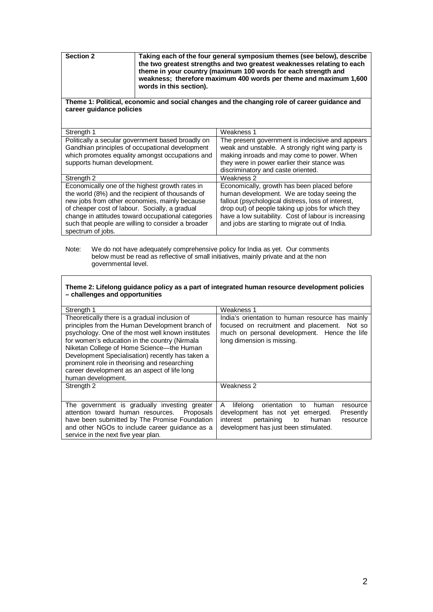| <b>Section 2</b> | Taking each of the four general symposium themes (see below), describe<br>the two greatest strengths and two greatest weaknesses relating to each<br>theme in your country (maximum 100 words for each strength and<br>weakness: therefore maximum 400 words per theme and maximum 1.600<br>words in this section). |
|------------------|---------------------------------------------------------------------------------------------------------------------------------------------------------------------------------------------------------------------------------------------------------------------------------------------------------------------|
|                  |                                                                                                                                                                                                                                                                                                                     |

### **Theme 1: Political, economic and social changes and the changing role of career guidance and career guidance policies**

| Strength 1                                                                                                                                              | Weakness 1                                                                                                                                          |
|---------------------------------------------------------------------------------------------------------------------------------------------------------|-----------------------------------------------------------------------------------------------------------------------------------------------------|
| Politically a secular government based broadly on<br>Gandhian principles of occupational development<br>which promotes equality amongst occupations and | The present government is indecisive and appears<br>weak and unstable. A strongly right wing party is<br>making inroads and may come to power. When |
| supports human development.                                                                                                                             | they were in power earlier their stance was                                                                                                         |
|                                                                                                                                                         | discriminatory and caste oriented.                                                                                                                  |
| Strength 2                                                                                                                                              | Weakness 2                                                                                                                                          |
| Economically one of the highest growth rates in                                                                                                         | Economically, growth has been placed before                                                                                                         |
| the world (8%) and the recipient of thousands of                                                                                                        | human development. We are today seeing the                                                                                                          |
| new jobs from other economies, mainly because                                                                                                           | fallout (psychological distress, loss of interest,                                                                                                  |
| of cheaper cost of labour. Socially, a gradual                                                                                                          | drop out) of people taking up jobs for which they                                                                                                   |
| change in attitudes toward occupational categories                                                                                                      | have a low suitability. Cost of labour is increasing                                                                                                |
| such that people are willing to consider a broader                                                                                                      | and jobs are starting to migrate out of India.                                                                                                      |
| spectrum of jobs.                                                                                                                                       |                                                                                                                                                     |

Note: We do not have adequately comprehensive policy for India as yet. Our comments below must be read as reflective of small initiatives, mainly private and at the non governmental level.

#### **Theme 2: Lifelong guidance policy as a part of integrated human resource development policies – challenges and opportunities**

| Strength 1                                                                                                                                                                                                                                                                                                                                                                                                                       | Weakness 1                                                                                                                                                                                             |
|----------------------------------------------------------------------------------------------------------------------------------------------------------------------------------------------------------------------------------------------------------------------------------------------------------------------------------------------------------------------------------------------------------------------------------|--------------------------------------------------------------------------------------------------------------------------------------------------------------------------------------------------------|
| Theoretically there is a gradual inclusion of<br>principles from the Human Development branch of<br>psychology. One of the most well known institutes<br>for women's education in the country (Nirmala<br>Niketan College of Home Science--- the Human<br>Development Specialisation) recently has taken a<br>prominent role in theorising and researching<br>career development as an aspect of life long<br>human development. | India's orientation to human resource has mainly<br>focused on recruitment and placement.<br>Not so<br>much on personal development. Hence the life<br>long dimension is missing.                      |
| Strength 2                                                                                                                                                                                                                                                                                                                                                                                                                       | Weakness 2                                                                                                                                                                                             |
| The government is gradually investing greater<br>attention toward human resources.<br>Proposals<br>have been submitted by The Promise Foundation<br>and other NGOs to include career guidance as a<br>service in the next five year plan.                                                                                                                                                                                        | orientation<br>lifelong<br>A<br>to<br>human<br>resource<br>development has not yet emerged.<br>Presently<br>pertaining<br>interest<br>to<br>human<br>resource<br>development has just been stimulated. |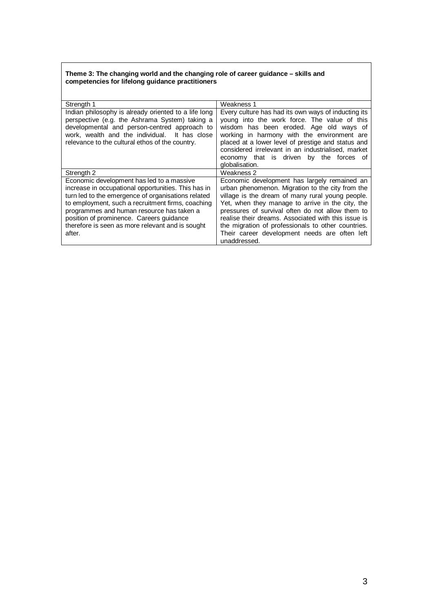#### **Theme 3: The changing world and the changing role of career guidance – skills and competencies for lifelong guidance practitioners**

| Strength 1                                                                                                                                                                                                                                                                                                                                                         | Weakness 1                                                                                                                                                                                                                                                                                                                                                                                                                                 |
|--------------------------------------------------------------------------------------------------------------------------------------------------------------------------------------------------------------------------------------------------------------------------------------------------------------------------------------------------------------------|--------------------------------------------------------------------------------------------------------------------------------------------------------------------------------------------------------------------------------------------------------------------------------------------------------------------------------------------------------------------------------------------------------------------------------------------|
| Indian philosophy is already oriented to a life long<br>perspective (e.g. the Ashrama System) taking a<br>developmental and person-centred approach to<br>work, wealth and the individual. It has close<br>relevance to the cultural ethos of the country.                                                                                                         | Every culture has had its own ways of inducting its<br>young into the work force. The value of this<br>wisdom has been eroded. Age old ways of<br>working in harmony with the environment are<br>placed at a lower level of prestige and status and<br>considered irrelevant in an industrialised, market<br>economy that is driven by the forces of<br>globalisation.                                                                     |
| Strength 2                                                                                                                                                                                                                                                                                                                                                         | Weakness 2                                                                                                                                                                                                                                                                                                                                                                                                                                 |
| Economic development has led to a massive<br>increase in occupational opportunities. This has in<br>turn led to the emergence of organisations related<br>to employment, such a recruitment firms, coaching<br>programmes and human resource has taken a<br>position of prominence. Careers guidance<br>therefore is seen as more relevant and is sought<br>after. | Economic development has largely remained an<br>urban phenomenon. Migration to the city from the<br>village is the dream of many rural young people.<br>Yet, when they manage to arrive in the city, the<br>pressures of survival often do not allow them to<br>realise their dreams. Associated with this issue is<br>the migration of professionals to other countries.<br>Their career development needs are often left<br>unaddressed. |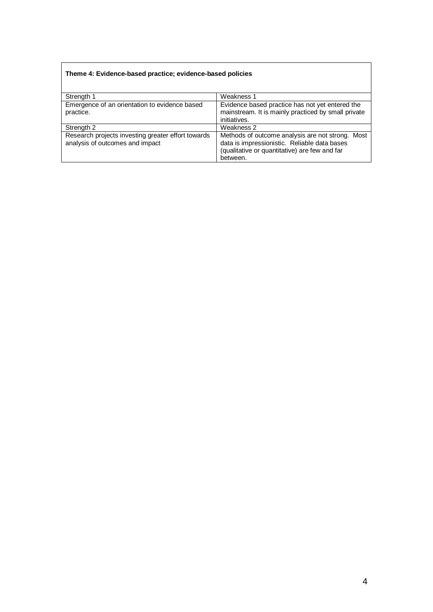## **Theme 4: Evidence-based practice; evidence-based policies**

| Strength 1                                                                            | Weakness 1                                                                                                                                                    |
|---------------------------------------------------------------------------------------|---------------------------------------------------------------------------------------------------------------------------------------------------------------|
| Emergence of an orientation to evidence based                                         | Evidence based practice has not yet entered the                                                                                                               |
| practice.                                                                             | mainstream. It is mainly practiced by small private                                                                                                           |
|                                                                                       | initiatives.                                                                                                                                                  |
| Strength 2                                                                            | Weakness 2                                                                                                                                                    |
| Research projects investing greater effort towards<br>analysis of outcomes and impact | Methods of outcome analysis are not strong. Most<br>data is impressionistic. Reliable data bases<br>(qualitative or quantitative) are few and far<br>between. |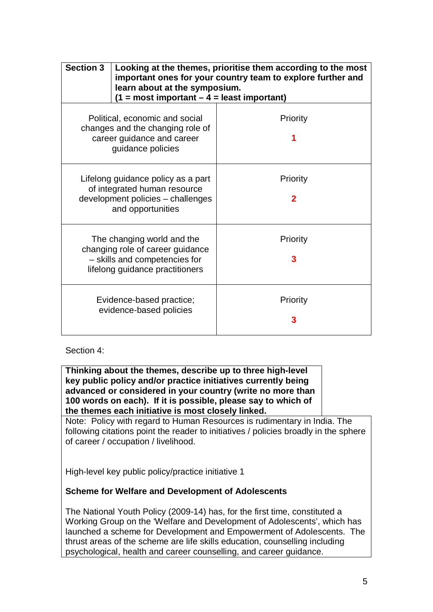| <b>Section 3</b>                                                                                                                   | learn about at the symposium.<br>$(1 = most important - 4 = least important)$ | Looking at the themes, prioritise them according to the most<br>important ones for your country team to explore further and |
|------------------------------------------------------------------------------------------------------------------------------------|-------------------------------------------------------------------------------|-----------------------------------------------------------------------------------------------------------------------------|
| Political, economic and social<br>changes and the changing role of<br>career guidance and career<br>guidance policies              |                                                                               | Priority                                                                                                                    |
| Lifelong guidance policy as a part<br>of integrated human resource<br>development policies - challenges<br>and opportunities       |                                                                               | Priority<br>2                                                                                                               |
| The changing world and the<br>changing role of career guidance<br>- skills and competencies for<br>lifelong guidance practitioners |                                                                               | Priority                                                                                                                    |
| Evidence-based practice;<br>evidence-based policies                                                                                |                                                                               | Priority                                                                                                                    |

# Section 4:

**Thinking about the themes, describe up to three high-level key public policy and/or practice initiatives currently being advanced or considered in your country (write no more than 100 words on each). If it is possible, please say to which of the themes each initiative is most closely linked.** 

Note: Policy with regard to Human Resources is rudimentary in India. The following citations point the reader to initiatives / policies broadly in the sphere of career / occupation / livelihood.

High-level key public policy/practice initiative 1

## **Scheme for Welfare and Development of Adolescents**

The National Youth Policy (2009-14) has, for the first time, constituted a Working Group on the 'Welfare and Development of Adolescents', which has launched a scheme for Development and Empowerment of Adolescents. The thrust areas of the scheme are life skills education, counselling including psychological, health and career counselling, and career guidance.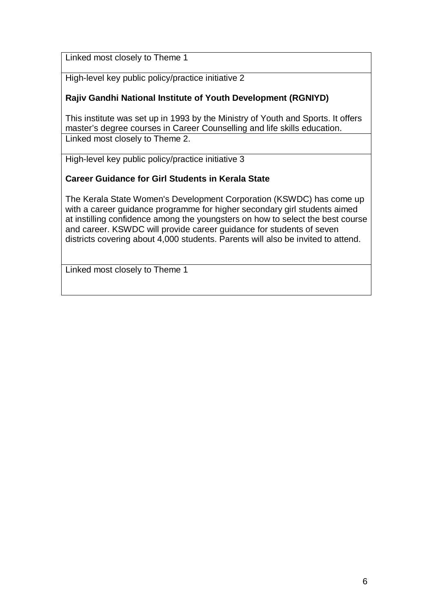Linked most closely to Theme 1

High-level key public policy/practice initiative 2

# **Rajiv Gandhi National Institute of Youth Development (RGNIYD)**

This institute was set up in 1993 by the Ministry of Youth and Sports. It offers master's degree courses in Career Counselling and life skills education. Linked most closely to Theme 2.

High-level key public policy/practice initiative 3

# **Career Guidance for Girl Students in Kerala State**

The Kerala State Women's Development Corporation (KSWDC) has come up with a career guidance programme for higher secondary girl students aimed at instilling confidence among the youngsters on how to select the best course and career. KSWDC will provide career guidance for students of seven districts covering about 4,000 students. Parents will also be invited to attend.

Linked most closely to Theme 1